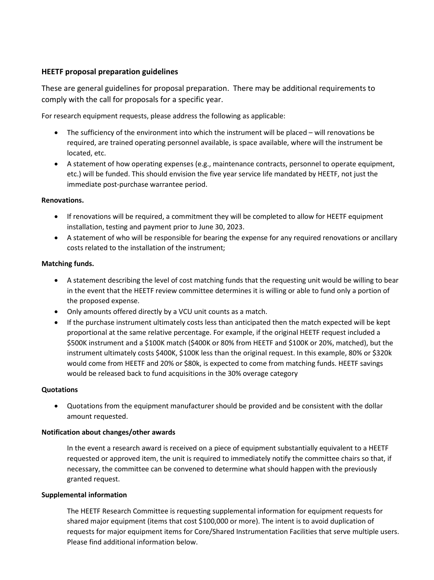# **HEETF proposal preparation guidelines**

These are general guidelines for proposal preparation. There may be additional requirements to comply with the call for proposals for a specific year.

For research equipment requests, please address the following as applicable:

- The sufficiency of the environment into which the instrument will be placed will renovations be required, are trained operating personnel available, is space available, where will the instrument be located, etc.
- A statement of how operating expenses (e.g., maintenance contracts, personnel to operate equipment, etc.) will be funded. This should envision the five year service life mandated by HEETF, not just the immediate post-purchase warrantee period.

## **Renovations.**

- If renovations will be required, a commitment they will be completed to allow for HEETF equipment installation, testing and payment prior to June 30, 2023.
- A statement of who will be responsible for bearing the expense for any required renovations or ancillary costs related to the installation of the instrument;

#### **Matching funds.**

- A statement describing the level of cost matching funds that the requesting unit would be willing to bear in the event that the HEETF review committee determines it is willing or able to fund only a portion of the proposed expense.
- Only amounts offered directly by a VCU unit counts as a match.
- If the purchase instrument ultimately costs less than anticipated then the match expected will be kept proportional at the same relative percentage. For example, if the original HEETF request included a \$500K instrument and a \$100K match (\$400K or 80% from HEETF and \$100K or 20%, matched), but the instrument ultimately costs \$400K, \$100K less than the original request. In this example, 80% or \$320k would come from HEETF and 20% or \$80k, is expected to come from matching funds. HEETF savings would be released back to fund acquisitions in the 30% overage category

#### **Quotations**

• Quotations from the equipment manufacturer should be provided and be consistent with the dollar amount requested.

## **Notification about changes/other awards**

In the event a research award is received on a piece of equipment substantially equivalent to a HEETF requested or approved item, the unit is required to immediately notify the committee chairs so that, if necessary, the committee can be convened to determine what should happen with the previously granted request.

#### **Supplemental information**

The HEETF Research Committee is requesting supplemental information for equipment requests for shared major equipment (items that cost \$100,000 or more). The intent is to avoid duplication of requests for major equipment items for Core/Shared Instrumentation Facilities that serve multiple users. Please find additional information below.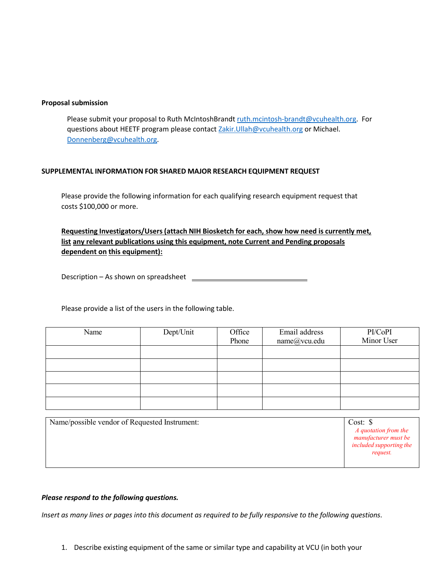#### **Proposal submission**

Please submit your proposal to Ruth McIntoshBrandt [ruth.mcintosh-brandt@vcuhealth.org.](mailto:ruth.mcintosh-brandt@vcuhealth.org) For questions about HEETF program please contact [Zakir.Ullah@vcuhealth.org](mailto:Zakir.Ullah@vcuhealth.org) or Michael. [Donnenberg@vcuhealth.org.](mailto:Donnenberg@vcuhealth.org)

## **SUPPLEMENTAL INFORMATION FOR SHARED MAJOR RESEARCH EQUIPMENT REQUEST**

Please provide the following information for each qualifying research equipment request that costs \$100,000 or more.

**Requesting Investigators/Users(attach NIH Biosketch for each, show how need is currently met, list any relevant publications using this equipment, note Current and Pending proposals dependent on this equipment):**

Description – As shown on spreadsheet

Please provide a list of the users in the following table.

| Name | Dept/Unit | Office<br>Phone | Email address<br>name@vcu.edu | PI/CoPI<br>Minor User |
|------|-----------|-----------------|-------------------------------|-----------------------|
|      |           |                 |                               |                       |
|      |           |                 |                               |                       |
|      |           |                 |                               |                       |
|      |           |                 |                               |                       |
|      |           |                 |                               |                       |
|      |           |                 |                               |                       |

| Name/possible vendor of Requested Instrument: | Cost: $\$                                                                                  |
|-----------------------------------------------|--------------------------------------------------------------------------------------------|
|                                               | A quotation from the<br>manufacturer must be<br><i>included supporting the</i><br>request. |

## *Please respond to the following questions.*

Insert as many lines or pages into this document as required to be fully responsive to the following questions.

1. Describe existing equipment of the same or similar type and capability at VCU (in both your